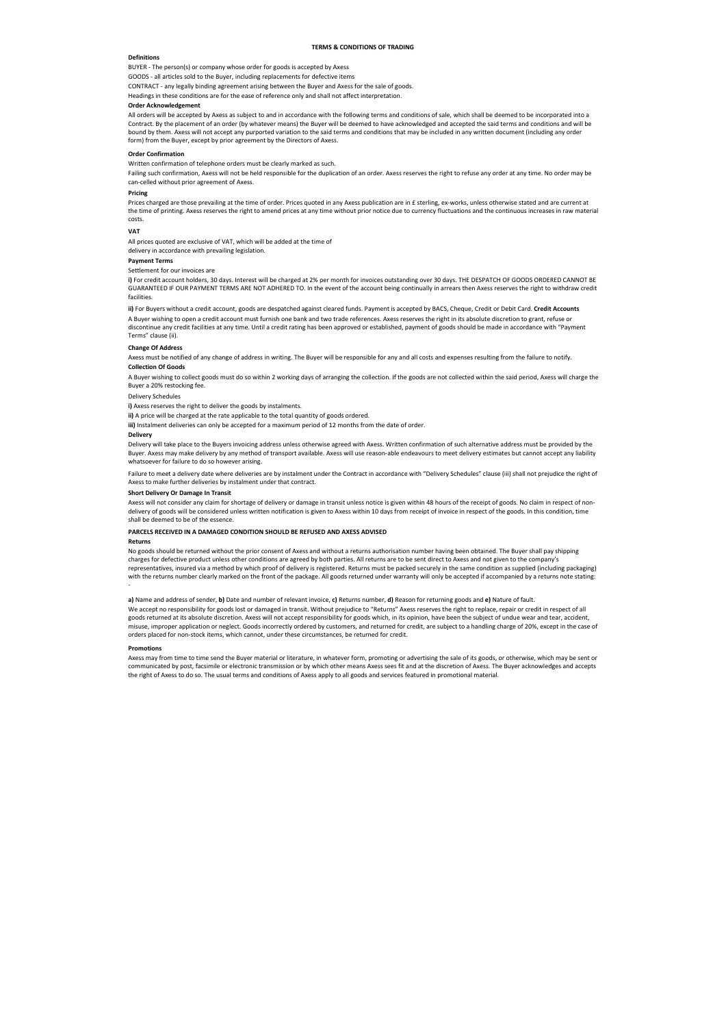### **TERMS & CONDITIONS OF TRADING**

### **Definitions**

BUYER - The person(s) or company whose order for goods is accepted by Axess

GOODS - all articles sold to the Buyer, including replacements for defective items

CONTRACT - any legally binding agreement arising between the Buyer and Axess for the sale of goods.

Headings in these conditions are for the ease of reference only and shall not affect interpretation.

# **Order Acknowledgement**

Failing such confirmation, Axess will not be held responsible for the duplication of an order. Axess reserves the right to refuse any order at any time. No order may be can-celled without prior agreement of Axess.

All orders will be accepted by Axess as subject to and in accordance with the following terms and conditions of sale, which shall be deemed to be incorporated into a Contract. By the placement of an order (by whatever means) the Buyer will be deemed to have acknowledged and accepted the said terms and conditions and will be bound by them. Axess will not accept any purported variation to the said terms and conditions that may be included in any written document (including any order form) from the Buyer, except by prior agreement by the Directors of Axess.

Prices charged are those prevailing at the time of order. Prices quoted in any Axess publication are in £ sterling, ex-works, unless otherwise stated and are current at the time of printing. Axess reserves the right to amend prices at any time without prior notice due to currency fluctuations and the continuous increases in raw material costs.

### **Order Confirmation**

Written confirmation of telephone orders must be clearly marked as such.

### **Pricing**

#### **VAT**

All prices quoted are exclusive of VAT, which will be added at the time of

delivery in accordance with prevailing legislation.

### **Payment Terms**

Settlement for our invoices are

Failure to meet a delivery date where deliveries are by instalment under the Contract in accordance with "Delivery Schedules" clause (iii) shall not prejudice the right of Axess to make further deliveries by instalment under that contract.

**i)** For credit account holders, 30 days. Interest will be charged at 2% per month for invoices outstanding over 30 days. THE DESPATCH OF GOODS ORDERED CANNOT BE GUARANTEED IF OUR PAYMENT TERMS ARE NOT ADHERED TO. In the event of the account being continually in arrears then Axess reserves the right to withdraw credit facilities.

Axess will not consider any claim for shortage of delivery or damage in transit unless notice is given within 48 hours of the receipt of goods. No claim in respect of nondelivery of goods will be considered unless written notification is given to Axess within 10 days from receipt of invoice in respect of the goods. In this condition, time shall be deemed to be of the essence.

**ii)** For Buyers without a credit account, goods are despatched against cleared funds. Payment is accepted by BACS, Cheque, Credit or Debit Card. **Credit Accounts**  A Buyer wishing to open a credit account must furnish one bank and two trade references. Axess reserves the right in its absolute discretion to grant, refuse or discontinue any credit facilities at any time. Until a credit rating has been approved or established, payment of goods should be made in accordance with "Payment Terms" clause (ii).

### **Change Of Address**

Axess must be notified of any change of address in writing. The Buyer will be responsible for any and all costs and expenses resulting from the failure to notify.

# **Collection Of Goods**

A Buyer wishing to collect goods must do so within 2 working days of arranging the collection. If the goods are not collected within the said period, Axess will charge the Buyer a 20% restocking fee.

# Delivery Schedules

**i)** Axess reserves the right to deliver the goods by instalments.

**ii)** A price will be charged at the rate applicable to the total quantity of goods ordered.

**iii)** Instalment deliveries can only be accepted for a maximum period of 12 months from the date of order.

#### **Delivery**

Delivery will take place to the Buyers invoicing address unless otherwise agreed with Axess. Written confirmation of such alternative address must be provided by the Buyer. Axess may make delivery by any method of transport available. Axess will use reason-able endeavours to meet delivery estimates but cannot accept any liability whatsoever for failure to do so however arising.

#### **Short Delivery Or Damage In Transit**

# **PARCELS RECEIVED IN A DAMAGED CONDITION SHOULD BE REFUSED AND AXESS ADVISED**

### **Returns**

No goods should be returned without the prior consent of Axess and without a returns authorisation number having been obtained. The Buyer shall pay shipping charges for defective product unless other conditions are agreed by both parties. All returns are to be sent direct to Axess and not given to the company's representatives, insured via a method by which proof of delivery is registered. Returns must be packed securely in the same condition as supplied (including packaging) with the returns number clearly marked on the front of the package. All goods returned under warranty will only be accepted if accompanied by a returns note stating: -

**a)** Name and address of sender, **b)** Date and number of relevant invoice, **c)** Returns number, **d)** Reason for returning goods and **e)** Nature of fault.

We accept no responsibility for goods lost or damaged in transit. Without prejudice to "Returns" Axess reserves the right to replace, repair or credit in respect of all goods returned at its absolute discretion. Axess will not accept responsibility for goods which, in its opinion, have been the subject of undue wear and tear, accident, misuse, improper application or neglect. Goods incorrectly ordered by customers, and returned for credit, are subject to a handling charge of 20%, except in the case of orders placed for non-stock items, which cannot, under these circumstances, be returned for credit.

### **Promotions**

Axess may from time to time send the Buyer material or literature, in whatever form, promoting or advertising the sale of its goods, or otherwise, which may be sent or communicated by post, facsimile or electronic transmission or by which other means Axess sees fit and at the discretion of Axess. The Buyer acknowledges and accepts the right of Axess to do so. The usual terms and conditions of Axess apply to all goods and services featured in promotional material.